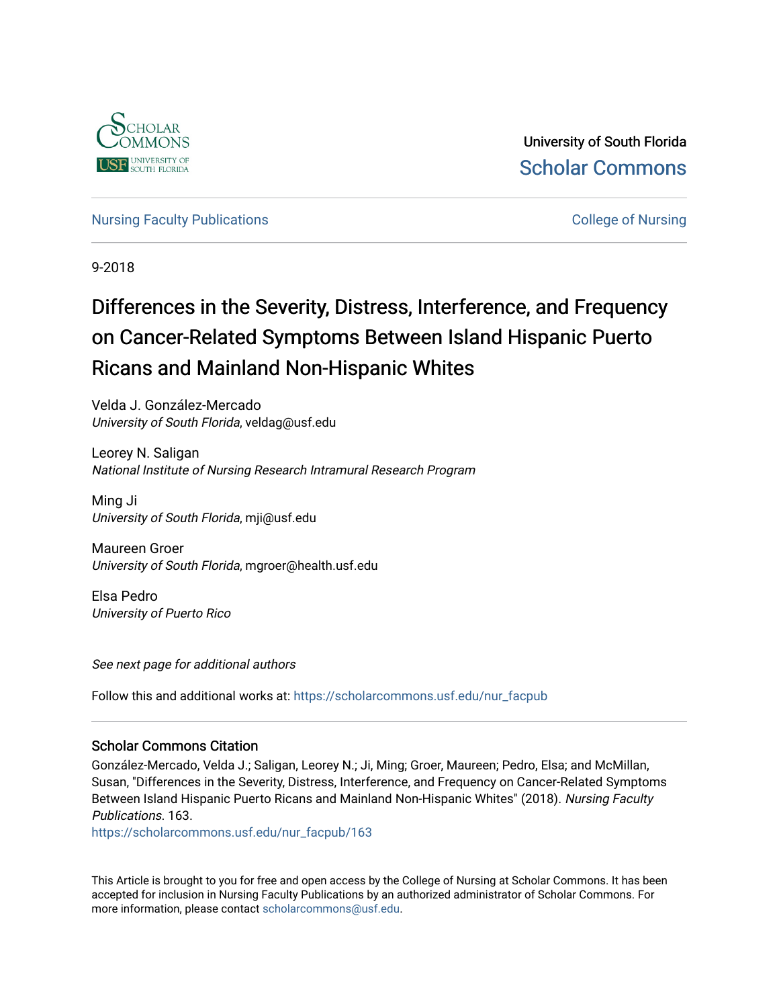

University of South Florida [Scholar Commons](https://scholarcommons.usf.edu/) 

[Nursing Faculty Publications](https://scholarcommons.usf.edu/nur_facpub) **College of Nursing** 

9-2018

## Differences in the Severity, Distress, Interference, and Frequency on Cancer-Related Symptoms Between Island Hispanic Puerto Ricans and Mainland Non-Hispanic Whites

Velda J. González-Mercado University of South Florida, veldag@usf.edu

Leorey N. Saligan National Institute of Nursing Research Intramural Research Program

Ming Ji University of South Florida, mji@usf.edu

Maureen Groer University of South Florida, mgroer@health.usf.edu

Elsa Pedro University of Puerto Rico

See next page for additional authors

Follow this and additional works at: [https://scholarcommons.usf.edu/nur\\_facpub](https://scholarcommons.usf.edu/nur_facpub?utm_source=scholarcommons.usf.edu%2Fnur_facpub%2F163&utm_medium=PDF&utm_campaign=PDFCoverPages) 

## Scholar Commons Citation

González-Mercado, Velda J.; Saligan, Leorey N.; Ji, Ming; Groer, Maureen; Pedro, Elsa; and McMillan, Susan, "Differences in the Severity, Distress, Interference, and Frequency on Cancer-Related Symptoms Between Island Hispanic Puerto Ricans and Mainland Non-Hispanic Whites" (2018). Nursing Faculty Publications. 163.

[https://scholarcommons.usf.edu/nur\\_facpub/163](https://scholarcommons.usf.edu/nur_facpub/163?utm_source=scholarcommons.usf.edu%2Fnur_facpub%2F163&utm_medium=PDF&utm_campaign=PDFCoverPages) 

This Article is brought to you for free and open access by the College of Nursing at Scholar Commons. It has been accepted for inclusion in Nursing Faculty Publications by an authorized administrator of Scholar Commons. For more information, please contact [scholarcommons@usf.edu](mailto:scholarcommons@usf.edu).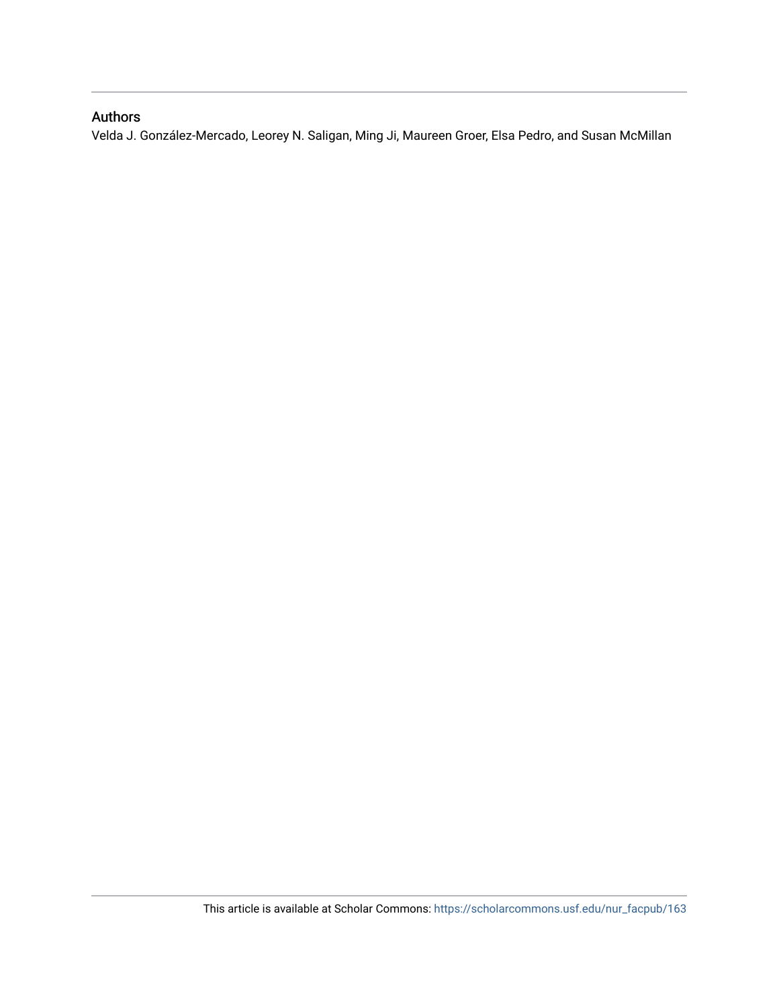## Authors

Velda J. González-Mercado, Leorey N. Saligan, Ming Ji, Maureen Groer, Elsa Pedro, and Susan McMillan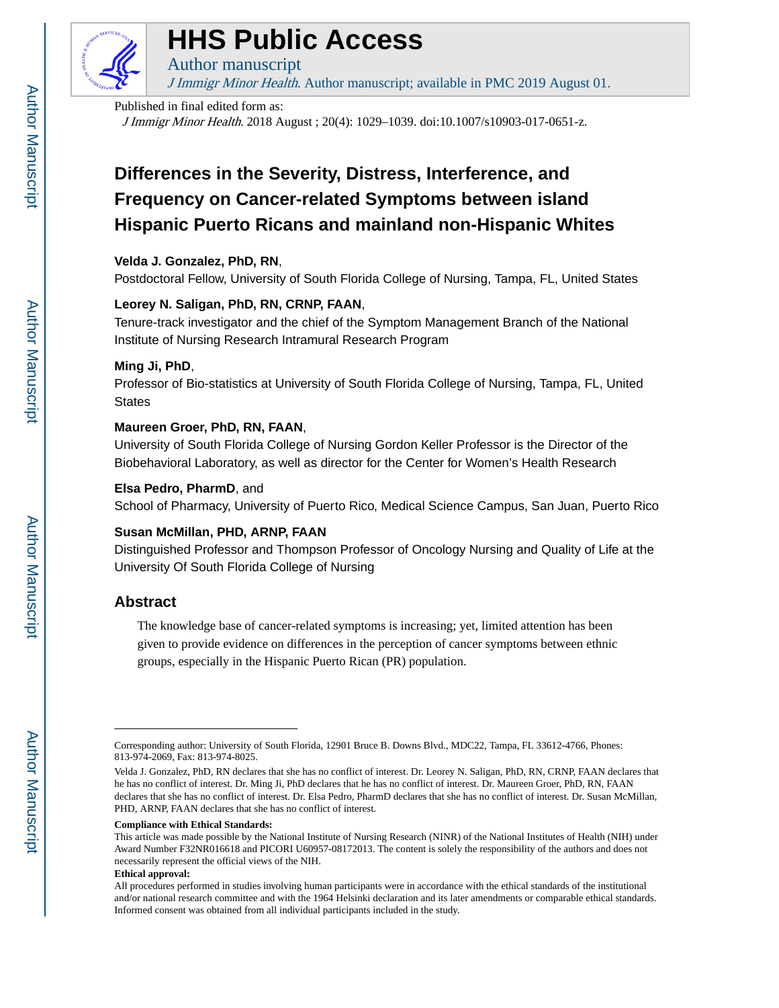

# **HHS Public Access**

J Immigr Minor Health. Author manuscript; available in PMC 2019 August 01.

Published in final edited form as:

Author manuscript

J Immigr Minor Health. 2018 August ; 20(4): 1029–1039. doi:10.1007/s10903-017-0651-z.

## **Differences in the Severity, Distress, Interference, and Frequency on Cancer-related Symptoms between island Hispanic Puerto Ricans and mainland non-Hispanic Whites**

## **Velda J. Gonzalez, PhD, RN**,

Postdoctoral Fellow, University of South Florida College of Nursing, Tampa, FL, United States

## **Leorey N. Saligan, PhD, RN, CRNP, FAAN**,

Tenure-track investigator and the chief of the Symptom Management Branch of the National Institute of Nursing Research Intramural Research Program

## **Ming Ji, PhD**,

Professor of Bio-statistics at University of South Florida College of Nursing, Tampa, FL, United **States** 

## **Maureen Groer, PhD, RN, FAAN**,

University of South Florida College of Nursing Gordon Keller Professor is the Director of the Biobehavioral Laboratory, as well as director for the Center for Women's Health Research

## **Elsa Pedro, PharmD**, and

School of Pharmacy, University of Puerto Rico, Medical Science Campus, San Juan, Puerto Rico

## **Susan McMillan, PHD, ARNP, FAAN**

Distinguished Professor and Thompson Professor of Oncology Nursing and Quality of Life at the University Of South Florida College of Nursing

## **Abstract**

The knowledge base of cancer-related symptoms is increasing; yet, limited attention has been given to provide evidence on differences in the perception of cancer symptoms between ethnic groups, especially in the Hispanic Puerto Rican (PR) population.

#### **Ethical approval:**

Corresponding author: University of South Florida, 12901 Bruce B. Downs Blvd., MDC22, Tampa, FL 33612-4766, Phones: 813-974-2069, Fax: 813-974-8025.

Velda J. Gonzalez, PhD, RN declares that she has no conflict of interest. Dr. Leorey N. Saligan, PhD, RN, CRNP, FAAN declares that he has no conflict of interest. Dr. Ming Ji, PhD declares that he has no conflict of interest. Dr. Maureen Groer, PhD, RN, FAAN declares that she has no conflict of interest. Dr. Elsa Pedro, PharmD declares that she has no conflict of interest. Dr. Susan McMillan, PHD, ARNP, FAAN declares that she has no conflict of interest.

**Compliance with Ethical Standards:**

This article was made possible by the National Institute of Nursing Research (NINR) of the National Institutes of Health (NIH) under Award Number F32NR016618 and PICORI U60957-08172013. The content is solely the responsibility of the authors and does not necessarily represent the official views of the NIH.

All procedures performed in studies involving human participants were in accordance with the ethical standards of the institutional and/or national research committee and with the 1964 Helsinki declaration and its later amendments or comparable ethical standards. Informed consent was obtained from all individual participants included in the study.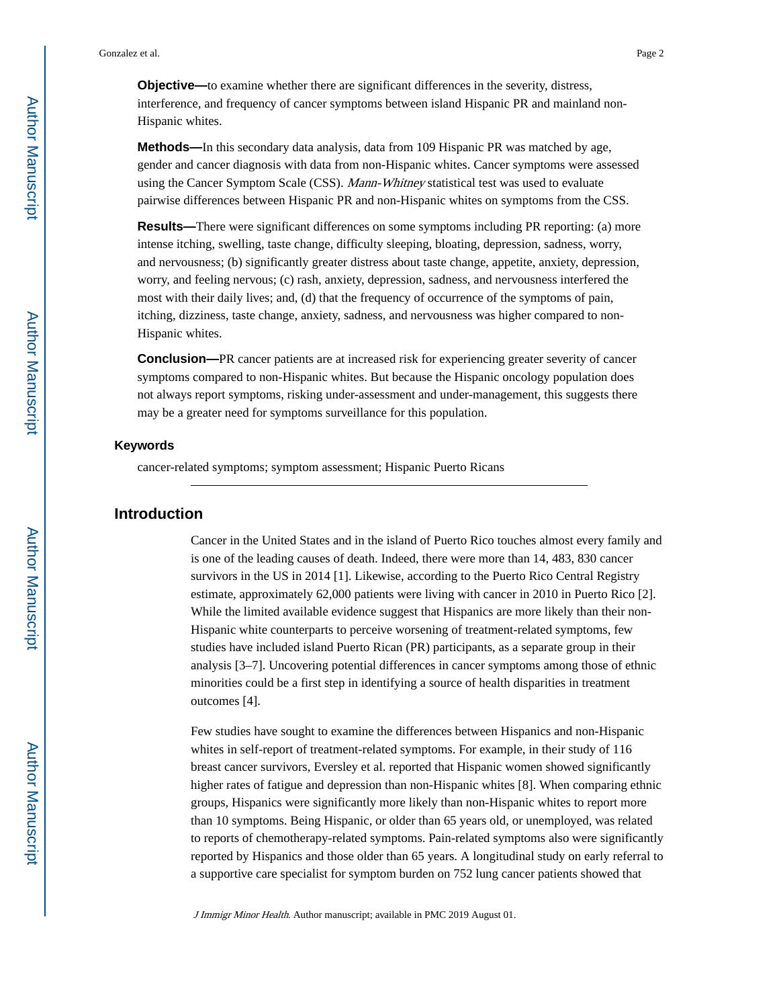**Objective—**to examine whether there are significant differences in the severity, distress, interference, and frequency of cancer symptoms between island Hispanic PR and mainland non-Hispanic whites.

**Methods—**In this secondary data analysis, data from 109 Hispanic PR was matched by age, gender and cancer diagnosis with data from non-Hispanic whites. Cancer symptoms were assessed using the Cancer Symptom Scale (CSS). Mann-Whitney statistical test was used to evaluate pairwise differences between Hispanic PR and non-Hispanic whites on symptoms from the CSS.

**Results—**There were significant differences on some symptoms including PR reporting: (a) more intense itching, swelling, taste change, difficulty sleeping, bloating, depression, sadness, worry, and nervousness; (b) significantly greater distress about taste change, appetite, anxiety, depression, worry, and feeling nervous; (c) rash, anxiety, depression, sadness, and nervousness interfered the most with their daily lives; and, (d) that the frequency of occurrence of the symptoms of pain, itching, dizziness, taste change, anxiety, sadness, and nervousness was higher compared to non-Hispanic whites.

**Conclusion—PR** cancer patients are at increased risk for experiencing greater severity of cancer symptoms compared to non-Hispanic whites. But because the Hispanic oncology population does not always report symptoms, risking under-assessment and under-management, this suggests there may be a greater need for symptoms surveillance for this population.

#### **Keywords**

cancer-related symptoms; symptom assessment; Hispanic Puerto Ricans

#### **Introduction**

Cancer in the United States and in the island of Puerto Rico touches almost every family and is one of the leading causes of death. Indeed, there were more than 14, 483, 830 cancer survivors in the US in 2014 [1]. Likewise, according to the Puerto Rico Central Registry estimate, approximately 62,000 patients were living with cancer in 2010 in Puerto Rico [2]. While the limited available evidence suggest that Hispanics are more likely than their non-Hispanic white counterparts to perceive worsening of treatment-related symptoms, few studies have included island Puerto Rican (PR) participants, as a separate group in their analysis [3–7]. Uncovering potential differences in cancer symptoms among those of ethnic minorities could be a first step in identifying a source of health disparities in treatment outcomes [4].

Few studies have sought to examine the differences between Hispanics and non-Hispanic whites in self-report of treatment-related symptoms. For example, in their study of 116 breast cancer survivors, Eversley et al. reported that Hispanic women showed significantly higher rates of fatigue and depression than non-Hispanic whites [8]. When comparing ethnic groups, Hispanics were significantly more likely than non-Hispanic whites to report more than 10 symptoms. Being Hispanic, or older than 65 years old, or unemployed, was related to reports of chemotherapy-related symptoms. Pain-related symptoms also were significantly reported by Hispanics and those older than 65 years. A longitudinal study on early referral to a supportive care specialist for symptom burden on 752 lung cancer patients showed that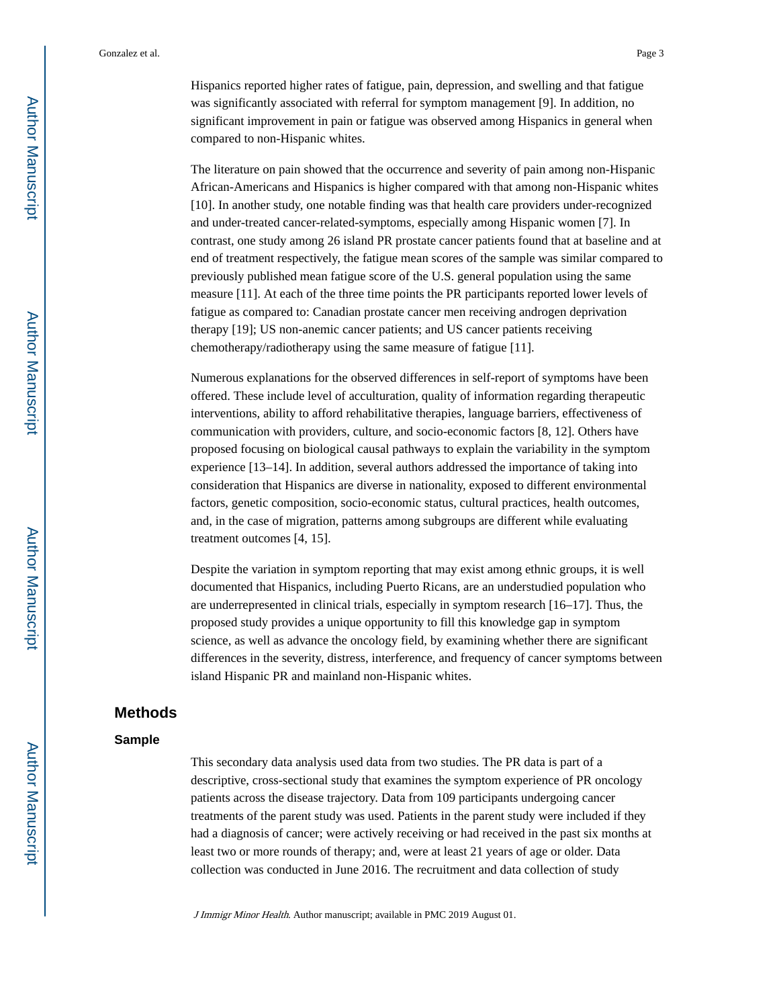Hispanics reported higher rates of fatigue, pain, depression, and swelling and that fatigue was significantly associated with referral for symptom management [9]. In addition, no significant improvement in pain or fatigue was observed among Hispanics in general when compared to non-Hispanic whites.

The literature on pain showed that the occurrence and severity of pain among non-Hispanic African-Americans and Hispanics is higher compared with that among non-Hispanic whites [10]. In another study, one notable finding was that health care providers under-recognized and under-treated cancer-related-symptoms, especially among Hispanic women [7]. In contrast, one study among 26 island PR prostate cancer patients found that at baseline and at end of treatment respectively, the fatigue mean scores of the sample was similar compared to previously published mean fatigue score of the U.S. general population using the same measure [11]. At each of the three time points the PR participants reported lower levels of fatigue as compared to: Canadian prostate cancer men receiving androgen deprivation therapy [19]; US non-anemic cancer patients; and US cancer patients receiving chemotherapy/radiotherapy using the same measure of fatigue [11].

Numerous explanations for the observed differences in self-report of symptoms have been offered. These include level of acculturation, quality of information regarding therapeutic interventions, ability to afford rehabilitative therapies, language barriers, effectiveness of communication with providers, culture, and socio-economic factors [8, 12]. Others have proposed focusing on biological causal pathways to explain the variability in the symptom experience [13–14]. In addition, several authors addressed the importance of taking into consideration that Hispanics are diverse in nationality, exposed to different environmental factors, genetic composition, socio-economic status, cultural practices, health outcomes, and, in the case of migration, patterns among subgroups are different while evaluating treatment outcomes [4, 15].

Despite the variation in symptom reporting that may exist among ethnic groups, it is well documented that Hispanics, including Puerto Ricans, are an understudied population who are underrepresented in clinical trials, especially in symptom research [16–17]. Thus, the proposed study provides a unique opportunity to fill this knowledge gap in symptom science, as well as advance the oncology field, by examining whether there are significant differences in the severity, distress, interference, and frequency of cancer symptoms between island Hispanic PR and mainland non-Hispanic whites.

## **Methods**

#### **Sample**

This secondary data analysis used data from two studies. The PR data is part of a descriptive, cross-sectional study that examines the symptom experience of PR oncology patients across the disease trajectory. Data from 109 participants undergoing cancer treatments of the parent study was used. Patients in the parent study were included if they had a diagnosis of cancer; were actively receiving or had received in the past six months at least two or more rounds of therapy; and, were at least 21 years of age or older. Data collection was conducted in June 2016. The recruitment and data collection of study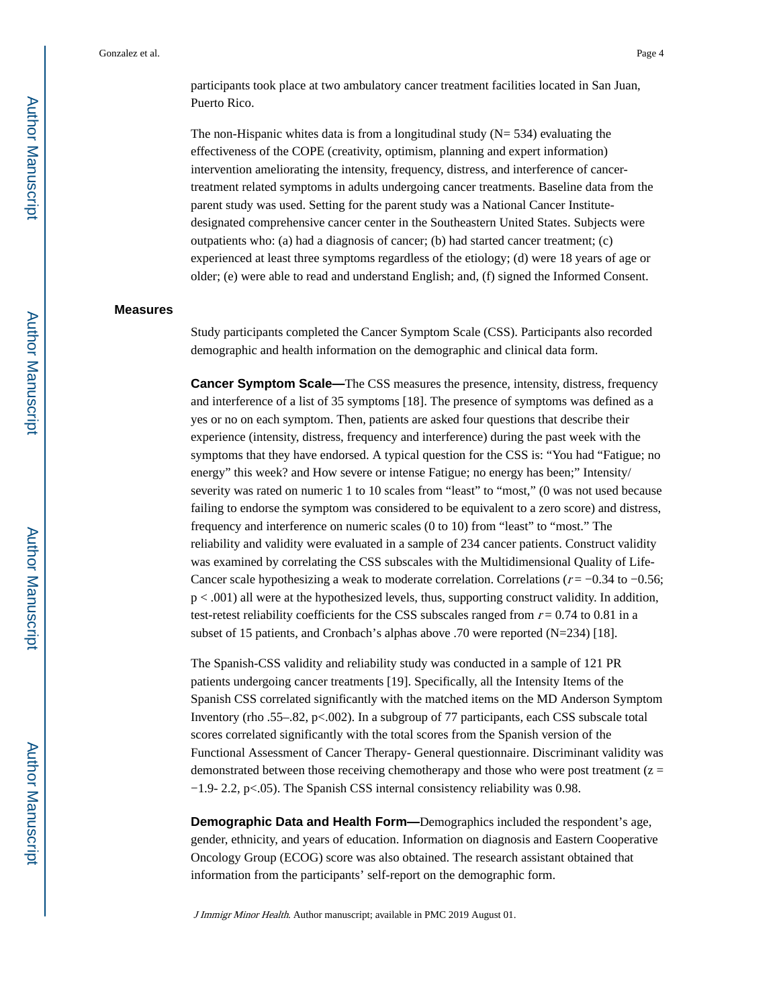participants took place at two ambulatory cancer treatment facilities located in San Juan, Puerto Rico.

The non-Hispanic whites data is from a longitudinal study  $(N= 534)$  evaluating the effectiveness of the COPE (creativity, optimism, planning and expert information) intervention ameliorating the intensity, frequency, distress, and interference of cancertreatment related symptoms in adults undergoing cancer treatments. Baseline data from the parent study was used. Setting for the parent study was a National Cancer Institutedesignated comprehensive cancer center in the Southeastern United States. Subjects were outpatients who: (a) had a diagnosis of cancer; (b) had started cancer treatment; (c) experienced at least three symptoms regardless of the etiology; (d) were 18 years of age or older; (e) were able to read and understand English; and, (f) signed the Informed Consent.

#### **Measures**

Study participants completed the Cancer Symptom Scale (CSS). Participants also recorded demographic and health information on the demographic and clinical data form.

**Cancer Symptom Scale—**The CSS measures the presence, intensity, distress, frequency and interference of a list of 35 symptoms [18]. The presence of symptoms was defined as a yes or no on each symptom. Then, patients are asked four questions that describe their experience (intensity, distress, frequency and interference) during the past week with the symptoms that they have endorsed. A typical question for the CSS is: "You had "Fatigue; no energy" this week? and How severe or intense Fatigue; no energy has been;" Intensity/ severity was rated on numeric 1 to 10 scales from "least" to "most," (0 was not used because failing to endorse the symptom was considered to be equivalent to a zero score) and distress, frequency and interference on numeric scales (0 to 10) from "least" to "most." The reliability and validity were evaluated in a sample of 234 cancer patients. Construct validity was examined by correlating the CSS subscales with the Multidimensional Quality of Life-Cancer scale hypothesizing a weak to moderate correlation. Correlations ( $r = -0.34$  to  $-0.56$ ; p < .001) all were at the hypothesized levels, thus, supporting construct validity. In addition, test-retest reliability coefficients for the CSS subscales ranged from  $r = 0.74$  to 0.81 in a subset of 15 patients, and Cronbach's alphas above .70 were reported (N=234) [18].

The Spanish-CSS validity and reliability study was conducted in a sample of 121 PR patients undergoing cancer treatments [19]. Specifically, all the Intensity Items of the Spanish CSS correlated significantly with the matched items on the MD Anderson Symptom Inventory (rho .55–.82, p<.002). In a subgroup of 77 participants, each CSS subscale total scores correlated significantly with the total scores from the Spanish version of the Functional Assessment of Cancer Therapy- General questionnaire. Discriminant validity was demonstrated between those receiving chemotherapy and those who were post treatment  $(z =$ −1.9- 2.2, p<.05). The Spanish CSS internal consistency reliability was 0.98.

**Demographic Data and Health Form—**Demographics included the respondent's age, gender, ethnicity, and years of education. Information on diagnosis and Eastern Cooperative Oncology Group (ECOG) score was also obtained. The research assistant obtained that information from the participants' self-report on the demographic form.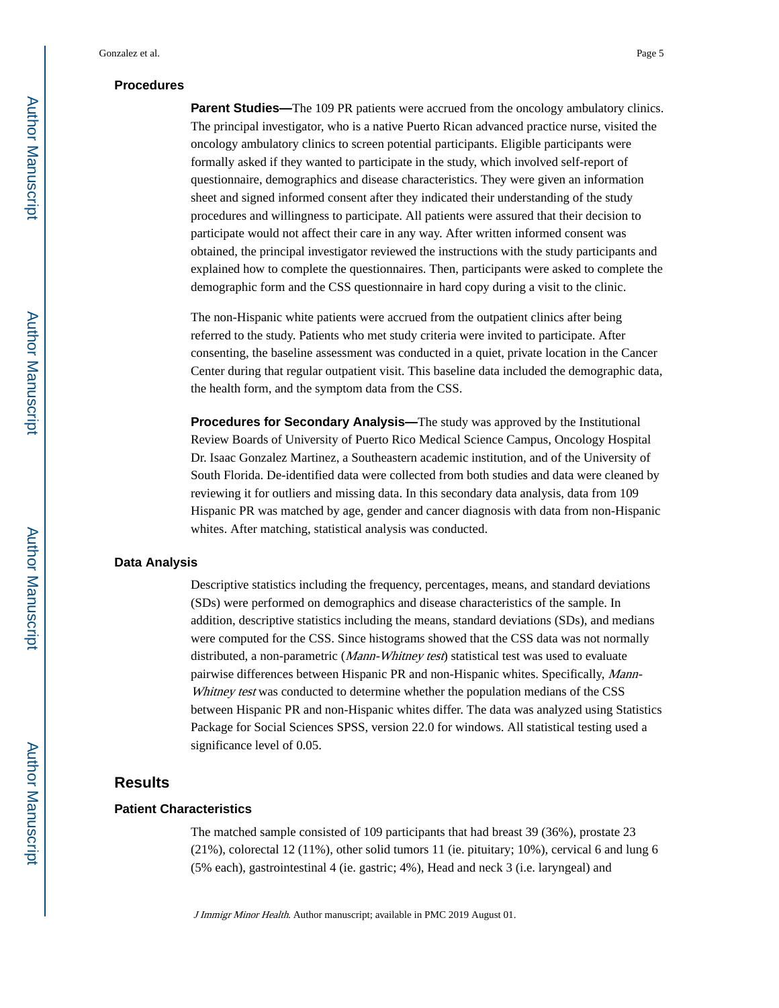#### **Procedures**

**Parent Studies—**The 109 PR patients were accrued from the oncology ambulatory clinics. The principal investigator, who is a native Puerto Rican advanced practice nurse, visited the oncology ambulatory clinics to screen potential participants. Eligible participants were formally asked if they wanted to participate in the study, which involved self-report of questionnaire, demographics and disease characteristics. They were given an information sheet and signed informed consent after they indicated their understanding of the study procedures and willingness to participate. All patients were assured that their decision to participate would not affect their care in any way. After written informed consent was obtained, the principal investigator reviewed the instructions with the study participants and explained how to complete the questionnaires. Then, participants were asked to complete the demographic form and the CSS questionnaire in hard copy during a visit to the clinic.

The non-Hispanic white patients were accrued from the outpatient clinics after being referred to the study. Patients who met study criteria were invited to participate. After consenting, the baseline assessment was conducted in a quiet, private location in the Cancer Center during that regular outpatient visit. This baseline data included the demographic data, the health form, and the symptom data from the CSS.

**Procedures for Secondary Analysis—The study was approved by the Institutional** Review Boards of University of Puerto Rico Medical Science Campus, Oncology Hospital Dr. Isaac Gonzalez Martinez, a Southeastern academic institution, and of the University of South Florida. De-identified data were collected from both studies and data were cleaned by reviewing it for outliers and missing data. In this secondary data analysis, data from 109 Hispanic PR was matched by age, gender and cancer diagnosis with data from non-Hispanic whites. After matching, statistical analysis was conducted.

#### **Data Analysis**

Descriptive statistics including the frequency, percentages, means, and standard deviations (SDs) were performed on demographics and disease characteristics of the sample. In addition, descriptive statistics including the means, standard deviations (SDs), and medians were computed for the CSS. Since histograms showed that the CSS data was not normally distributed, a non-parametric (Mann-Whitney test) statistical test was used to evaluate pairwise differences between Hispanic PR and non-Hispanic whites. Specifically, Mann-Whitney test was conducted to determine whether the population medians of the CSS between Hispanic PR and non-Hispanic whites differ. The data was analyzed using Statistics Package for Social Sciences SPSS, version 22.0 for windows. All statistical testing used a significance level of 0.05.

### **Results**

#### **Patient Characteristics**

The matched sample consisted of 109 participants that had breast 39 (36%), prostate 23 (21%), colorectal 12 (11%), other solid tumors 11 (ie. pituitary; 10%), cervical 6 and lung 6 (5% each), gastrointestinal 4 (ie. gastric; 4%), Head and neck 3 (i.e. laryngeal) and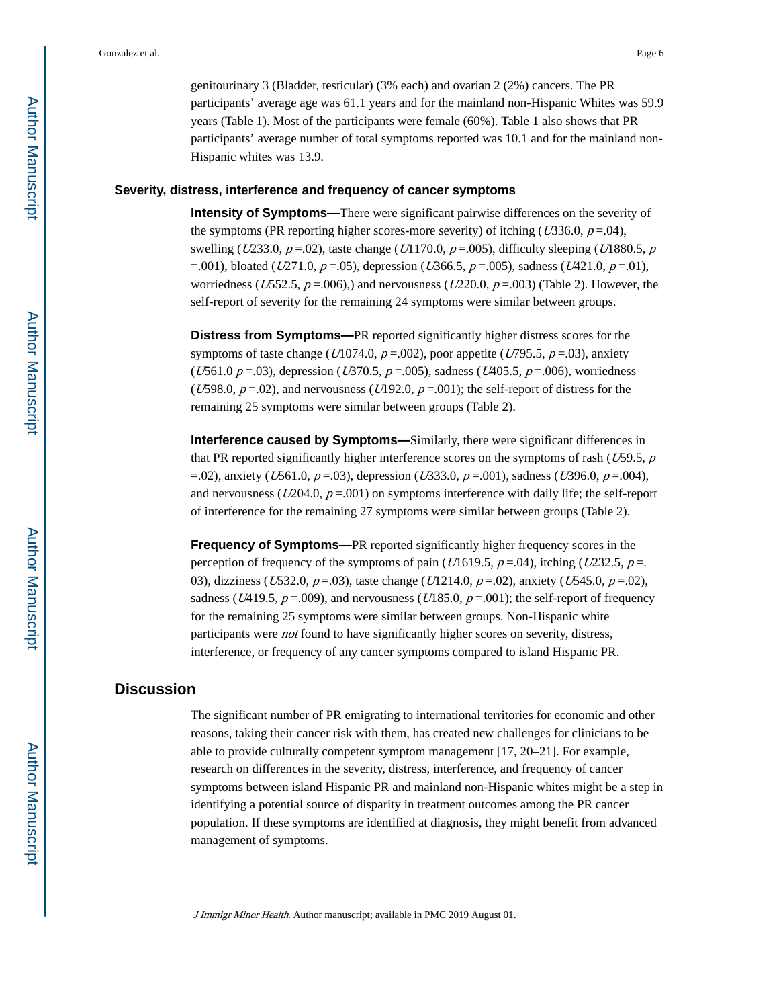genitourinary 3 (Bladder, testicular) (3% each) and ovarian 2 (2%) cancers. The PR participants' average age was 61.1 years and for the mainland non-Hispanic Whites was 59.9 years (Table 1). Most of the participants were female (60%). Table 1 also shows that PR participants' average number of total symptoms reported was 10.1 and for the mainland non-Hispanic whites was 13.9.

#### **Severity, distress, interference and frequency of cancer symptoms**

**Intensity of Symptoms—**There were significant pairwise differences on the severity of the symptoms (PR reporting higher scores-more severity) of itching ( $U336.0$ ,  $p = .04$ ), swelling (U233.0,  $p = 0.02$ ), taste change (U1170.0,  $p = 0.005$ ), difficulty sleeping (U1880.5, p  $=$ .001), bloated (U271.0,  $p = 0.05$ ), depression (U366.5,  $p = 0.005$ ), sadness (U421.0,  $p = 0.01$ ), worriedness ( $U$ 552.5,  $p = .006$ ),) and nervousness ( $U$ 220.0,  $p = .003$ ) (Table 2). However, the self-report of severity for the remaining 24 symptoms were similar between groups.

**Distress from Symptoms—**PR reported significantly higher distress scores for the symptoms of taste change (U1074.0,  $p = .002$ ), poor appetite (U795.5,  $p = .03$ ), anxiety (*U561.0 p* = 0.03), depression (*U370.5, p* = 0.005), sadness (*U405.5, p* = 0.006), worriedness ( $U$ 598.0,  $p = .02$ ), and nervousness ( $U$ 192.0,  $p = .001$ ); the self-report of distress for the remaining 25 symptoms were similar between groups (Table 2).

**Interference caused by Symptoms—**Similarly, there were significant differences in that PR reported significantly higher interference scores on the symptoms of rash ( $U$ 59.5,  $p$ )  $=$ .02), anxiety (*U*561.0,  $p =$ .03), depression (*U*333.0,  $p =$ .001), sadness (*U*396.0,  $p =$ .004), and nervousness ( $U204.0, p = .001$ ) on symptoms interference with daily life; the self-report of interference for the remaining 27 symptoms were similar between groups (Table 2).

**Frequency of Symptoms—PR** reported significantly higher frequency scores in the perception of frequency of the symptoms of pain (U1619.5,  $p = .04$ ), itching (U232.5,  $p = .$ 03), dizziness (U532.0,  $p = .03$ ), taste change (U1214.0,  $p = .02$ ), anxiety (U545.0,  $p = .02$ ), sadness ( $U419.5$ ,  $p = .009$ ), and nervousness ( $U185.0$ ,  $p = .001$ ); the self-report of frequency for the remaining 25 symptoms were similar between groups. Non-Hispanic white participants were not found to have significantly higher scores on severity, distress, interference, or frequency of any cancer symptoms compared to island Hispanic PR.

#### **Discussion**

The significant number of PR emigrating to international territories for economic and other reasons, taking their cancer risk with them, has created new challenges for clinicians to be able to provide culturally competent symptom management [17, 20–21]. For example, research on differences in the severity, distress, interference, and frequency of cancer symptoms between island Hispanic PR and mainland non-Hispanic whites might be a step in identifying a potential source of disparity in treatment outcomes among the PR cancer population. If these symptoms are identified at diagnosis, they might benefit from advanced management of symptoms.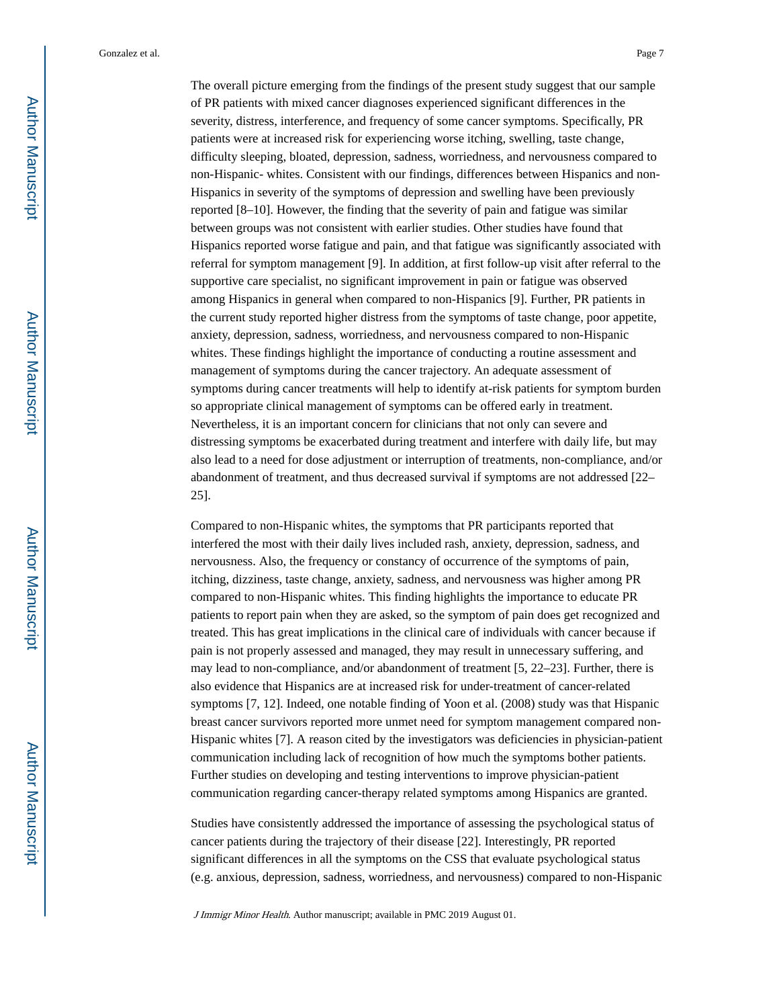The overall picture emerging from the findings of the present study suggest that our sample of PR patients with mixed cancer diagnoses experienced significant differences in the severity, distress, interference, and frequency of some cancer symptoms. Specifically, PR patients were at increased risk for experiencing worse itching, swelling, taste change, difficulty sleeping, bloated, depression, sadness, worriedness, and nervousness compared to non-Hispanic- whites. Consistent with our findings, differences between Hispanics and non-Hispanics in severity of the symptoms of depression and swelling have been previously reported [8–10]. However, the finding that the severity of pain and fatigue was similar between groups was not consistent with earlier studies. Other studies have found that Hispanics reported worse fatigue and pain, and that fatigue was significantly associated with referral for symptom management [9]. In addition, at first follow-up visit after referral to the supportive care specialist, no significant improvement in pain or fatigue was observed among Hispanics in general when compared to non-Hispanics [9]. Further, PR patients in the current study reported higher distress from the symptoms of taste change, poor appetite, anxiety, depression, sadness, worriedness, and nervousness compared to non-Hispanic whites. These findings highlight the importance of conducting a routine assessment and management of symptoms during the cancer trajectory. An adequate assessment of symptoms during cancer treatments will help to identify at-risk patients for symptom burden so appropriate clinical management of symptoms can be offered early in treatment. Nevertheless, it is an important concern for clinicians that not only can severe and distressing symptoms be exacerbated during treatment and interfere with daily life, but may also lead to a need for dose adjustment or interruption of treatments, non-compliance, and/or abandonment of treatment, and thus decreased survival if symptoms are not addressed [22– 25].

Compared to non-Hispanic whites, the symptoms that PR participants reported that interfered the most with their daily lives included rash, anxiety, depression, sadness, and nervousness. Also, the frequency or constancy of occurrence of the symptoms of pain, itching, dizziness, taste change, anxiety, sadness, and nervousness was higher among PR compared to non-Hispanic whites. This finding highlights the importance to educate PR patients to report pain when they are asked, so the symptom of pain does get recognized and treated. This has great implications in the clinical care of individuals with cancer because if pain is not properly assessed and managed, they may result in unnecessary suffering, and may lead to non-compliance, and/or abandonment of treatment [5, 22–23]. Further, there is also evidence that Hispanics are at increased risk for under-treatment of cancer-related symptoms [7, 12]. Indeed, one notable finding of Yoon et al. (2008) study was that Hispanic breast cancer survivors reported more unmet need for symptom management compared non-Hispanic whites [7]. A reason cited by the investigators was deficiencies in physician-patient communication including lack of recognition of how much the symptoms bother patients. Further studies on developing and testing interventions to improve physician-patient communication regarding cancer-therapy related symptoms among Hispanics are granted.

Studies have consistently addressed the importance of assessing the psychological status of cancer patients during the trajectory of their disease [22]. Interestingly, PR reported significant differences in all the symptoms on the CSS that evaluate psychological status (e.g. anxious, depression, sadness, worriedness, and nervousness) compared to non-Hispanic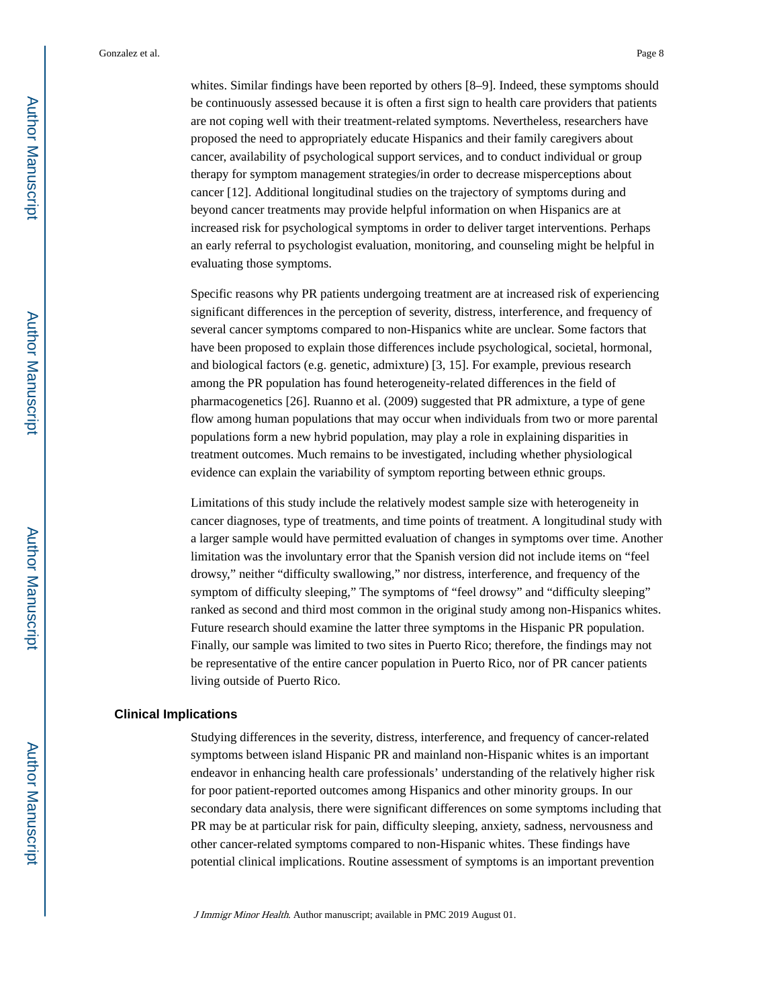whites. Similar findings have been reported by others [8–9]. Indeed, these symptoms should be continuously assessed because it is often a first sign to health care providers that patients are not coping well with their treatment-related symptoms. Nevertheless, researchers have proposed the need to appropriately educate Hispanics and their family caregivers about cancer, availability of psychological support services, and to conduct individual or group therapy for symptom management strategies/in order to decrease misperceptions about cancer [12]. Additional longitudinal studies on the trajectory of symptoms during and beyond cancer treatments may provide helpful information on when Hispanics are at increased risk for psychological symptoms in order to deliver target interventions. Perhaps an early referral to psychologist evaluation, monitoring, and counseling might be helpful in evaluating those symptoms.

Specific reasons why PR patients undergoing treatment are at increased risk of experiencing significant differences in the perception of severity, distress, interference, and frequency of several cancer symptoms compared to non-Hispanics white are unclear. Some factors that have been proposed to explain those differences include psychological, societal, hormonal, and biological factors (e.g. genetic, admixture) [3, 15]. For example, previous research among the PR population has found heterogeneity-related differences in the field of pharmacogenetics [26]. Ruanno et al. (2009) suggested that PR admixture, a type of gene flow among human populations that may occur when individuals from two or more parental populations form a new hybrid population, may play a role in explaining disparities in treatment outcomes. Much remains to be investigated, including whether physiological evidence can explain the variability of symptom reporting between ethnic groups.

Limitations of this study include the relatively modest sample size with heterogeneity in cancer diagnoses, type of treatments, and time points of treatment. A longitudinal study with a larger sample would have permitted evaluation of changes in symptoms over time. Another limitation was the involuntary error that the Spanish version did not include items on "feel drowsy," neither "difficulty swallowing," nor distress, interference, and frequency of the symptom of difficulty sleeping," The symptoms of "feel drowsy" and "difficulty sleeping" ranked as second and third most common in the original study among non-Hispanics whites. Future research should examine the latter three symptoms in the Hispanic PR population. Finally, our sample was limited to two sites in Puerto Rico; therefore, the findings may not be representative of the entire cancer population in Puerto Rico, nor of PR cancer patients living outside of Puerto Rico.

#### **Clinical Implications**

Studying differences in the severity, distress, interference, and frequency of cancer-related symptoms between island Hispanic PR and mainland non-Hispanic whites is an important endeavor in enhancing health care professionals' understanding of the relatively higher risk for poor patient-reported outcomes among Hispanics and other minority groups. In our secondary data analysis, there were significant differences on some symptoms including that PR may be at particular risk for pain, difficulty sleeping, anxiety, sadness, nervousness and other cancer-related symptoms compared to non-Hispanic whites. These findings have potential clinical implications. Routine assessment of symptoms is an important prevention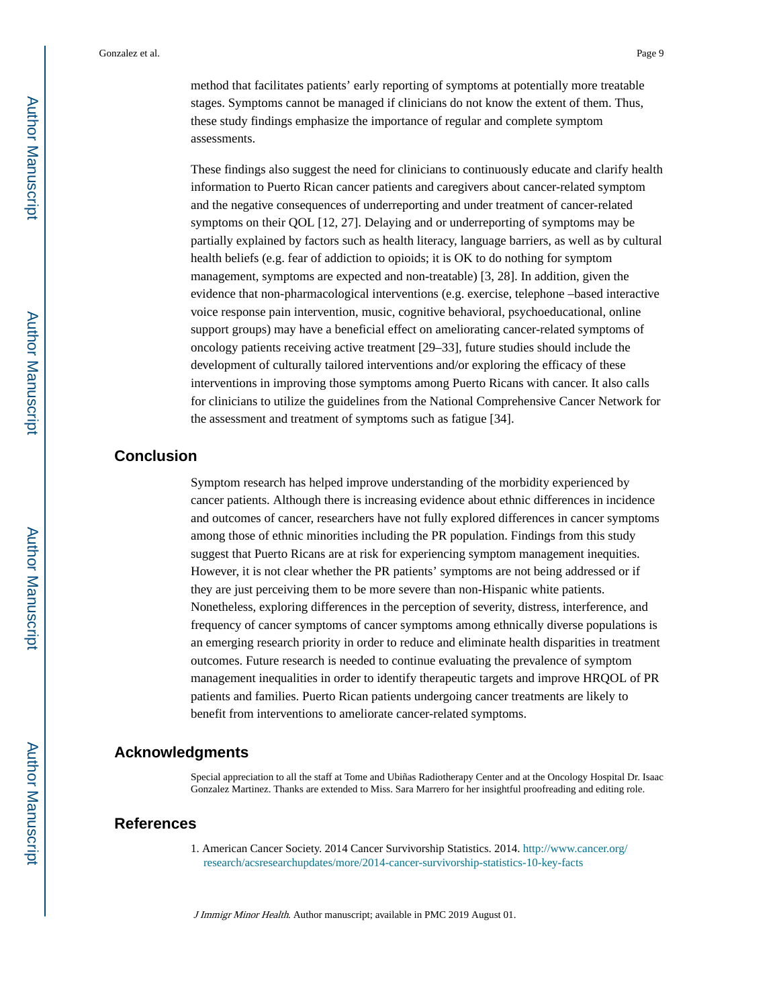method that facilitates patients' early reporting of symptoms at potentially more treatable stages. Symptoms cannot be managed if clinicians do not know the extent of them. Thus, these study findings emphasize the importance of regular and complete symptom assessments.

These findings also suggest the need for clinicians to continuously educate and clarify health information to Puerto Rican cancer patients and caregivers about cancer-related symptom and the negative consequences of underreporting and under treatment of cancer-related symptoms on their QOL [12, 27]. Delaying and or underreporting of symptoms may be partially explained by factors such as health literacy, language barriers, as well as by cultural health beliefs (e.g. fear of addiction to opioids; it is OK to do nothing for symptom management, symptoms are expected and non-treatable) [3, 28]. In addition, given the evidence that non-pharmacological interventions (e.g. exercise, telephone –based interactive voice response pain intervention, music, cognitive behavioral, psychoeducational, online support groups) may have a beneficial effect on ameliorating cancer-related symptoms of oncology patients receiving active treatment [29–33], future studies should include the development of culturally tailored interventions and/or exploring the efficacy of these interventions in improving those symptoms among Puerto Ricans with cancer. It also calls for clinicians to utilize the guidelines from the National Comprehensive Cancer Network for the assessment and treatment of symptoms such as fatigue [34].

## **Conclusion**

Symptom research has helped improve understanding of the morbidity experienced by cancer patients. Although there is increasing evidence about ethnic differences in incidence and outcomes of cancer, researchers have not fully explored differences in cancer symptoms among those of ethnic minorities including the PR population. Findings from this study suggest that Puerto Ricans are at risk for experiencing symptom management inequities. However, it is not clear whether the PR patients' symptoms are not being addressed or if they are just perceiving them to be more severe than non-Hispanic white patients. Nonetheless, exploring differences in the perception of severity, distress, interference, and frequency of cancer symptoms of cancer symptoms among ethnically diverse populations is an emerging research priority in order to reduce and eliminate health disparities in treatment outcomes. Future research is needed to continue evaluating the prevalence of symptom management inequalities in order to identify therapeutic targets and improve HRQOL of PR patients and families. Puerto Rican patients undergoing cancer treatments are likely to benefit from interventions to ameliorate cancer-related symptoms.

### **Acknowledgments**

Special appreciation to all the staff at Tome and Ubiñas Radiotherapy Center and at the Oncology Hospital Dr. Isaac Gonzalez Martinez. Thanks are extended to Miss. Sara Marrero for her insightful proofreading and editing role.

#### **References**

1. American Cancer Society. 2014 Cancer Survivorship Statistics. 2014. [http://www.cancer.org/](http://www.cancer.org/research/acsresearchupdates/more/2014-cancer-survivorship-statistics-10-key-facts) [research/acsresearchupdates/more/2014-cancer-survivorship-statistics-10-key-facts](http://www.cancer.org/research/acsresearchupdates/more/2014-cancer-survivorship-statistics-10-key-facts)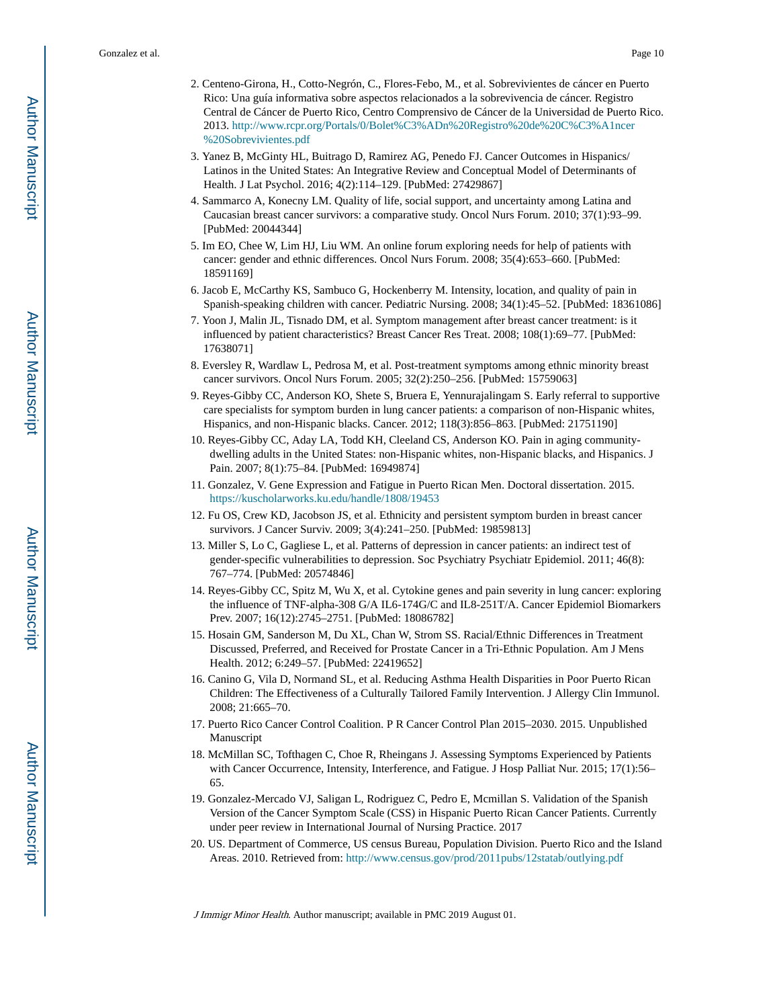- 2. Centeno-Girona, H., Cotto-Negrón, C., Flores-Febo, M., et al. Sobrevivientes de cáncer en Puerto Rico: Una guía informativa sobre aspectos relacionados a la sobrevivencia de cáncer. Registro Central de Cáncer de Puerto Rico, Centro Comprensivo de Cáncer de la Universidad de Puerto Rico. 2013. [http://www.rcpr.org/Portals/0/Bolet%C3%ADn%20Registro%20de%20C%C3%A1ncer](http://www.rcpr.org/Portals/0/Bolet%C3%ADn%20Registro%20de%20C%C3%A1ncer%20Sobrevivientes.pdf) [%20Sobrevivientes.pdf](http://www.rcpr.org/Portals/0/Bolet%C3%ADn%20Registro%20de%20C%C3%A1ncer%20Sobrevivientes.pdf)
- 3. Yanez B, McGinty HL, Buitrago D, Ramirez AG, Penedo FJ. Cancer Outcomes in Hispanics/ Latinos in the United States: An Integrative Review and Conceptual Model of Determinants of Health. J Lat Psychol. 2016; 4(2):114–129. [PubMed: 27429867]
- 4. Sammarco A, Konecny LM. Quality of life, social support, and uncertainty among Latina and Caucasian breast cancer survivors: a comparative study. Oncol Nurs Forum. 2010; 37(1):93–99. [PubMed: 20044344]
- 5. Im EO, Chee W, Lim HJ, Liu WM. An online forum exploring needs for help of patients with cancer: gender and ethnic differences. Oncol Nurs Forum. 2008; 35(4):653–660. [PubMed: 18591169]
- 6. Jacob E, McCarthy KS, Sambuco G, Hockenberry M. Intensity, location, and quality of pain in Spanish-speaking children with cancer. Pediatric Nursing. 2008; 34(1):45–52. [PubMed: 18361086]
- 7. Yoon J, Malin JL, Tisnado DM, et al. Symptom management after breast cancer treatment: is it influenced by patient characteristics? Breast Cancer Res Treat. 2008; 108(1):69–77. [PubMed: 17638071]
- 8. Eversley R, Wardlaw L, Pedrosa M, et al. Post-treatment symptoms among ethnic minority breast cancer survivors. Oncol Nurs Forum. 2005; 32(2):250–256. [PubMed: 15759063]
- 9. Reyes-Gibby CC, Anderson KO, Shete S, Bruera E, Yennurajalingam S. Early referral to supportive care specialists for symptom burden in lung cancer patients: a comparison of non-Hispanic whites, Hispanics, and non-Hispanic blacks. Cancer. 2012; 118(3):856–863. [PubMed: 21751190]
- 10. Reyes-Gibby CC, Aday LA, Todd KH, Cleeland CS, Anderson KO. Pain in aging communitydwelling adults in the United States: non-Hispanic whites, non-Hispanic blacks, and Hispanics. J Pain. 2007; 8(1):75–84. [PubMed: 16949874]
- 11. Gonzalez, V. Gene Expression and Fatigue in Puerto Rican Men. Doctoral dissertation. 2015. <https://kuscholarworks.ku.edu/handle/1808/19453>
- 12. Fu OS, Crew KD, Jacobson JS, et al. Ethnicity and persistent symptom burden in breast cancer survivors. J Cancer Surviv. 2009; 3(4):241–250. [PubMed: 19859813]
- 13. Miller S, Lo C, Gagliese L, et al. Patterns of depression in cancer patients: an indirect test of gender-specific vulnerabilities to depression. Soc Psychiatry Psychiatr Epidemiol. 2011; 46(8): 767–774. [PubMed: 20574846]
- 14. Reyes-Gibby CC, Spitz M, Wu X, et al. Cytokine genes and pain severity in lung cancer: exploring the influence of TNF-alpha-308 G/A IL6-174G/C and IL8-251T/A. Cancer Epidemiol Biomarkers Prev. 2007; 16(12):2745–2751. [PubMed: 18086782]
- 15. Hosain GM, Sanderson M, Du XL, Chan W, Strom SS. Racial/Ethnic Differences in Treatment Discussed, Preferred, and Received for Prostate Cancer in a Tri-Ethnic Population. Am J Mens Health. 2012; 6:249–57. [PubMed: 22419652]
- 16. Canino G, Vila D, Normand SL, et al. Reducing Asthma Health Disparities in Poor Puerto Rican Children: The Effectiveness of a Culturally Tailored Family Intervention. J Allergy Clin Immunol. 2008; 21:665–70.
- 17. Puerto Rico Cancer Control Coalition. P R Cancer Control Plan 2015–2030. 2015. Unpublished Manuscript
- 18. McMillan SC, Tofthagen C, Choe R, Rheingans J. Assessing Symptoms Experienced by Patients with Cancer Occurrence, Intensity, Interference, and Fatigue. J Hosp Palliat Nur. 2015; 17(1):56– 65.
- 19. Gonzalez-Mercado VJ, Saligan L, Rodriguez C, Pedro E, Mcmillan S. Validation of the Spanish Version of the Cancer Symptom Scale (CSS) in Hispanic Puerto Rican Cancer Patients. Currently under peer review in International Journal of Nursing Practice. 2017
- 20. US. Department of Commerce, US census Bureau, Population Division. Puerto Rico and the Island Areas. 2010. Retrieved from:<http://www.census.gov/prod/2011pubs/12statab/outlying.pdf>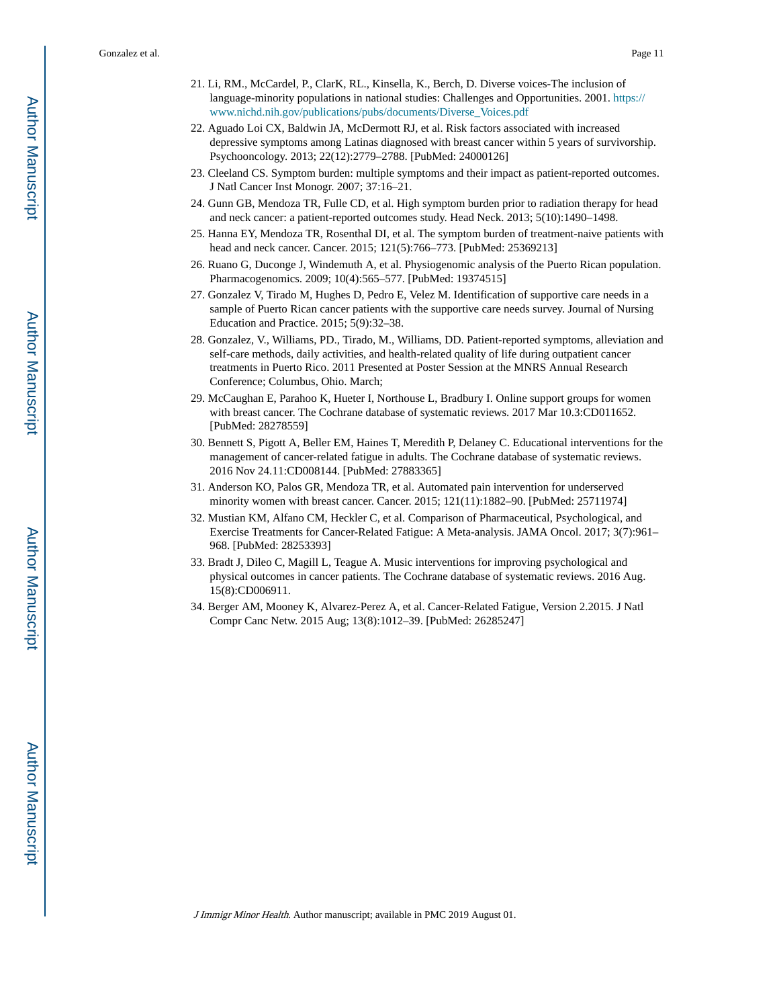- 21. Li, RM., McCardel, P., ClarK, RL., Kinsella, K., Berch, D. Diverse voices-The inclusion of language-minority populations in national studies: Challenges and Opportunities. 2001. [https://](https://www.nichd.nih.gov/publications/pubs/documents/Diverse_Voices.pdf) [www.nichd.nih.gov/publications/pubs/documents/Diverse\\_Voices.pdf](https://www.nichd.nih.gov/publications/pubs/documents/Diverse_Voices.pdf)
- 22. Aguado Loi CX, Baldwin JA, McDermott RJ, et al. Risk factors associated with increased depressive symptoms among Latinas diagnosed with breast cancer within 5 years of survivorship. Psychooncology. 2013; 22(12):2779–2788. [PubMed: 24000126]
- 23. Cleeland CS. Symptom burden: multiple symptoms and their impact as patient-reported outcomes. J Natl Cancer Inst Monogr. 2007; 37:16–21.
- 24. Gunn GB, Mendoza TR, Fulle CD, et al. High symptom burden prior to radiation therapy for head and neck cancer: a patient-reported outcomes study. Head Neck. 2013; 5(10):1490–1498.
- 25. Hanna EY, Mendoza TR, Rosenthal DI, et al. The symptom burden of treatment-naive patients with head and neck cancer. Cancer. 2015; 121(5):766–773. [PubMed: 25369213]
- 26. Ruano G, Duconge J, Windemuth A, et al. Physiogenomic analysis of the Puerto Rican population. Pharmacogenomics. 2009; 10(4):565–577. [PubMed: 19374515]
- 27. Gonzalez V, Tirado M, Hughes D, Pedro E, Velez M. Identification of supportive care needs in a sample of Puerto Rican cancer patients with the supportive care needs survey. Journal of Nursing Education and Practice. 2015; 5(9):32–38.
- 28. Gonzalez, V., Williams, PD., Tirado, M., Williams, DD. Patient-reported symptoms, alleviation and self-care methods, daily activities, and health-related quality of life during outpatient cancer treatments in Puerto Rico. 2011 Presented at Poster Session at the MNRS Annual Research Conference; Columbus, Ohio. March;
- 29. McCaughan E, Parahoo K, Hueter I, Northouse L, Bradbury I. Online support groups for women with breast cancer. The Cochrane database of systematic reviews. 2017 Mar 10.3:CD011652. [PubMed: 28278559]
- 30. Bennett S, Pigott A, Beller EM, Haines T, Meredith P, Delaney C. Educational interventions for the management of cancer-related fatigue in adults. The Cochrane database of systematic reviews. 2016 Nov 24.11:CD008144. [PubMed: 27883365]
- 31. Anderson KO, Palos GR, Mendoza TR, et al. Automated pain intervention for underserved minority women with breast cancer. Cancer. 2015; 121(11):1882–90. [PubMed: 25711974]
- 32. Mustian KM, Alfano CM, Heckler C, et al. Comparison of Pharmaceutical, Psychological, and Exercise Treatments for Cancer-Related Fatigue: A Meta-analysis. JAMA Oncol. 2017; 3(7):961– 968. [PubMed: 28253393]
- 33. Bradt J, Dileo C, Magill L, Teague A. Music interventions for improving psychological and physical outcomes in cancer patients. The Cochrane database of systematic reviews. 2016 Aug. 15(8):CD006911.
- 34. Berger AM, Mooney K, Alvarez-Perez A, et al. Cancer-Related Fatigue, Version 2.2015. J Natl Compr Canc Netw. 2015 Aug; 13(8):1012–39. [PubMed: 26285247]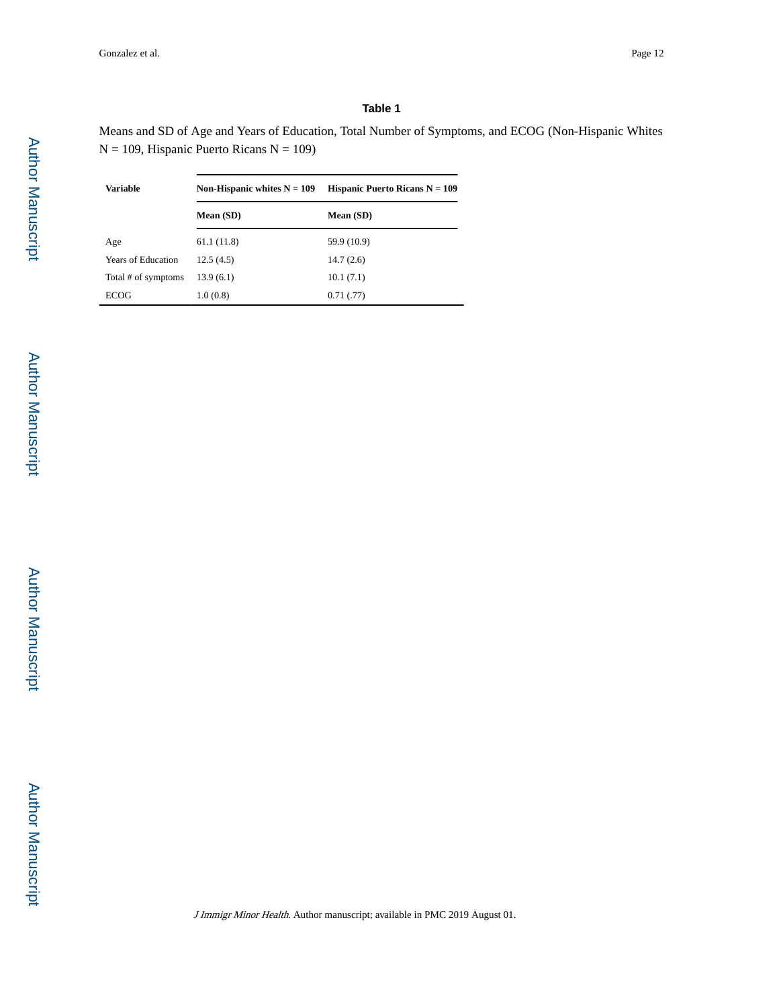#### **Table 1**

Means and SD of Age and Years of Education, Total Number of Symptoms, and ECOG (Non-Hispanic Whites  $N = 109$ , Hispanic Puerto Ricans  $N = 109$ )

| Variable                  | Non-Hispanic whites $N = 109$ | Hispanic Puerto Ricans $N = 109$ |  |
|---------------------------|-------------------------------|----------------------------------|--|
|                           | Mean (SD)                     | Mean (SD)                        |  |
| Age                       | 61.1 (11.8)                   | 59.9 (10.9)                      |  |
| <b>Years of Education</b> | 12.5(4.5)                     | 14.7(2.6)                        |  |
| Total # of symptoms       | 13.9(6.1)                     | 10.1(7.1)                        |  |
| <b>ECOG</b>               | 1.0(0.8)                      | 0.71(0.77)                       |  |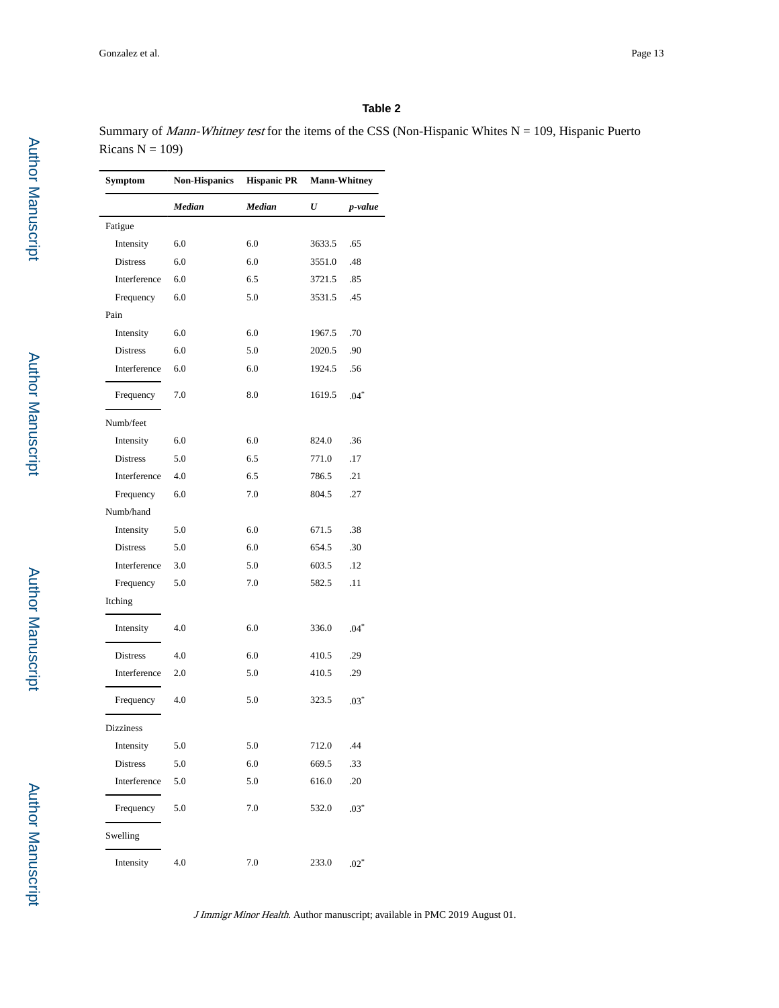#### **Table 2**

Summary of Mann-Whitney test for the items of the CSS (Non-Hispanic Whites  $N = 109$ , Hispanic Puerto Ricans  $N = 109$ )

| <b>Symptom</b>   | <b>Non-Hispanics</b> | <b>Hispanic PR</b> | <b>Mann-Whitney</b> |         |
|------------------|----------------------|--------------------|---------------------|---------|
|                  | <b>Median</b>        | <b>Median</b>      | U                   | p-value |
| Fatigue          |                      |                    |                     |         |
| Intensity        | 6.0                  | 6.0                | 3633.5              | .65     |
| <b>Distress</b>  | 6.0                  | 6.0                | 3551.0              | .48     |
| Interference     | 6.0                  | 6.5                | 3721.5              | .85     |
| Frequency        | 6.0                  | 5.0                | 3531.5              | .45     |
| Pain             |                      |                    |                     |         |
| Intensity        | 6.0                  | 6.0                | 1967.5              | .70     |
| <b>Distress</b>  | 6.0                  | 5.0                | 2020.5              | .90     |
| Interference     | 6.0                  | 6.0                | 1924.5              | .56     |
| Frequency        | 7.0                  | 8.0                | 1619.5              | $.04*$  |
| Numb/feet        |                      |                    |                     |         |
| Intensity        | 6.0                  | 6.0                | 824.0               | .36     |
| <b>Distress</b>  | 5.0                  | 6.5                | 771.0               | .17     |
| Interference     | 4.0                  | 6.5                | 786.5               | .21     |
| Frequency        | 6.0                  | 7.0                | 804.5               | .27     |
| Numb/hand        |                      |                    |                     |         |
| Intensity        | 5.0                  | 6.0                | 671.5               | .38     |
| <b>Distress</b>  | 5.0                  | 6.0                | 654.5               | .30     |
| Interference     | 3.0                  | 5.0                | 603.5               | .12     |
| Frequency        | 5.0                  | 7.0                | 582.5               | .11     |
| Itching          |                      |                    |                     |         |
| Intensity        | 4.0                  | 6.0                | 336.0               | $.04*$  |
| <b>Distress</b>  | 4.0                  | 6.0                | 410.5               | .29     |
| Interference     | 2.0                  | 5.0                | 410.5               | .29     |
| Frequency        | 4.0                  | 5.0                | 323.5               | $.03*$  |
| <b>Dizziness</b> |                      |                    |                     |         |
| Intensity        | 5.0                  | 5.0                | 712.0               | .44     |
| <b>Distress</b>  | 5.0                  | 6.0                | 669.5               | .33     |
| Interference     | 5.0                  | 5.0                | 616.0               | .20     |
| Frequency        | 5.0                  | 7.0                | 532.0               | $.03*$  |
| Swelling         |                      |                    |                     |         |
| Intensity        | 4.0                  | $7.0\,$            | 233.0               | $.02*$  |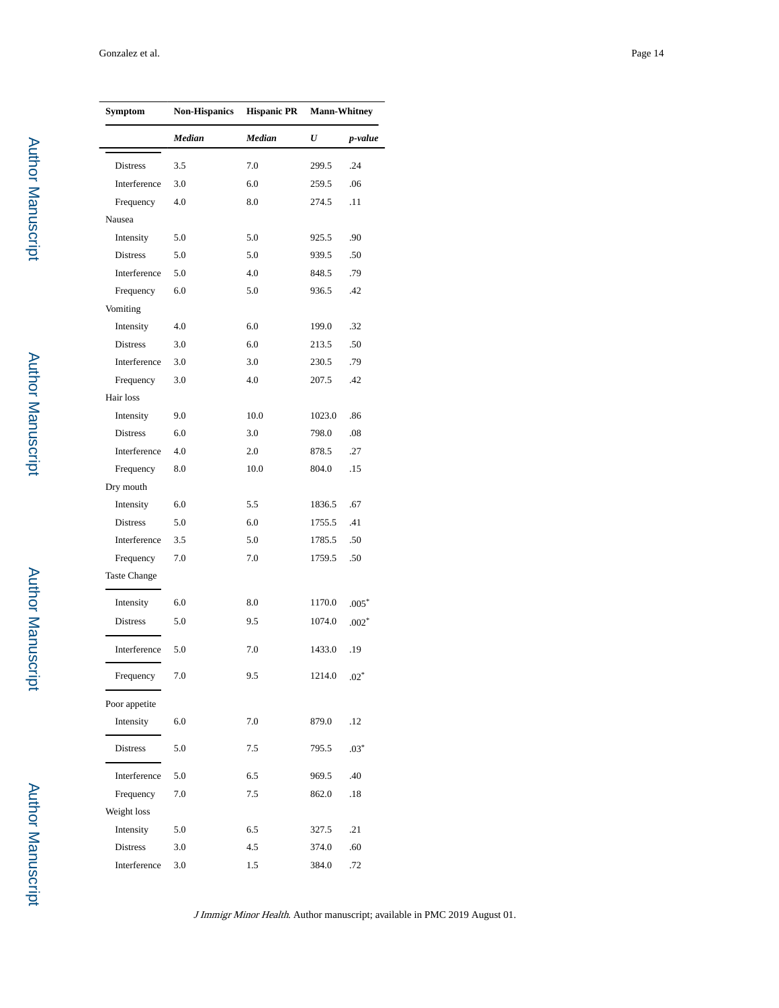| Symptom             | <b>Non-Hispanics</b> | <b>Hispanic PR</b> | <b>Mann-Whitney</b> |          |
|---------------------|----------------------|--------------------|---------------------|----------|
|                     | Median               | <b>Median</b>      | U                   | p-valu   |
| <b>Distress</b>     | 3.5                  | 7.0                | 299.5               | .24      |
| Interference        | 3.0                  | 6.0                | 259.5               | .06      |
| Frequency           | 4.0                  | 8.0                | 274.5               | .11      |
| Nausea              |                      |                    |                     |          |
| Intensity           | 5.0                  | 5.0                | 925.5               | .90      |
| <b>Distress</b>     | 5.0                  | 5.0                | 939.5               | .50      |
| Interference        | 5.0                  | 4.0                | 848.5               | .79      |
| Frequency           | 6.0                  | 5.0                | 936.5               | .42      |
| Vomiting            |                      |                    |                     |          |
| Intensity           | 4.0                  | 6.0                | 199.0               | .32      |
| <b>Distress</b>     | 3.0                  | 6.0                | 213.5               | .50      |
| Interference        | 3.0                  | 3.0                | 230.5               | .79      |
| Frequency           | 3.0                  | 4.0                | 207.5               | .42      |
| Hair loss           |                      |                    |                     |          |
| Intensity           | 9.0                  | 10.0               | 1023.0              | .86      |
| <b>Distress</b>     | 6.0                  | 3.0                | 798.0               | .08      |
| Interference        | 4.0                  | 2.0                | 878.5               | .27      |
| Frequency           | 8.0                  | 10.0               | 804.0               | .15      |
| Dry mouth           |                      |                    |                     |          |
| Intensity           | 6.0                  | 5.5                | 1836.5              | .67      |
| <b>Distress</b>     | 5.0                  | 6.0                | 1755.5              | .41      |
| Interference        | 3.5                  | 5.0                | 1785.5              | .50      |
| Frequency           | 7.0                  | 7.0                | 1759.5              | .50      |
| <b>Taste Change</b> |                      |                    |                     |          |
| Intensity           | 6.0                  | 8.0                | 1170.0              | $.005^*$ |
| <b>Distress</b>     | 5.0                  | 9.5                | 1074.0              | $.002*$  |
| Interference        | 5.0                  | 7.0                | 1433.0              | .19      |
| Frequency           | 7.0                  | 9.5                | 1214.0              | $.02^*$  |
| Poor appetite       |                      |                    |                     |          |
| Intensity           | 6.0                  | 7.0                | 879.0               | .12      |
| <b>Distress</b>     | 5.0                  | 7.5                | 795.5               | $.03*$   |
| Interference        | 5.0                  | 6.5                | 969.5               | .40      |
| Frequency           | 7.0                  | 7.5                | 862.0               | .18      |
| Weight loss         |                      |                    |                     |          |
| Intensity           | 5.0                  | 6.5                | 327.5               | .21      |

Distress 3.0 4.5 374.0 .60 Interference 3.0 1.5 384.0 .72

J Immigr Minor Health. Author manuscript; available in PMC 2019 August 01.

*Median Median U p-value*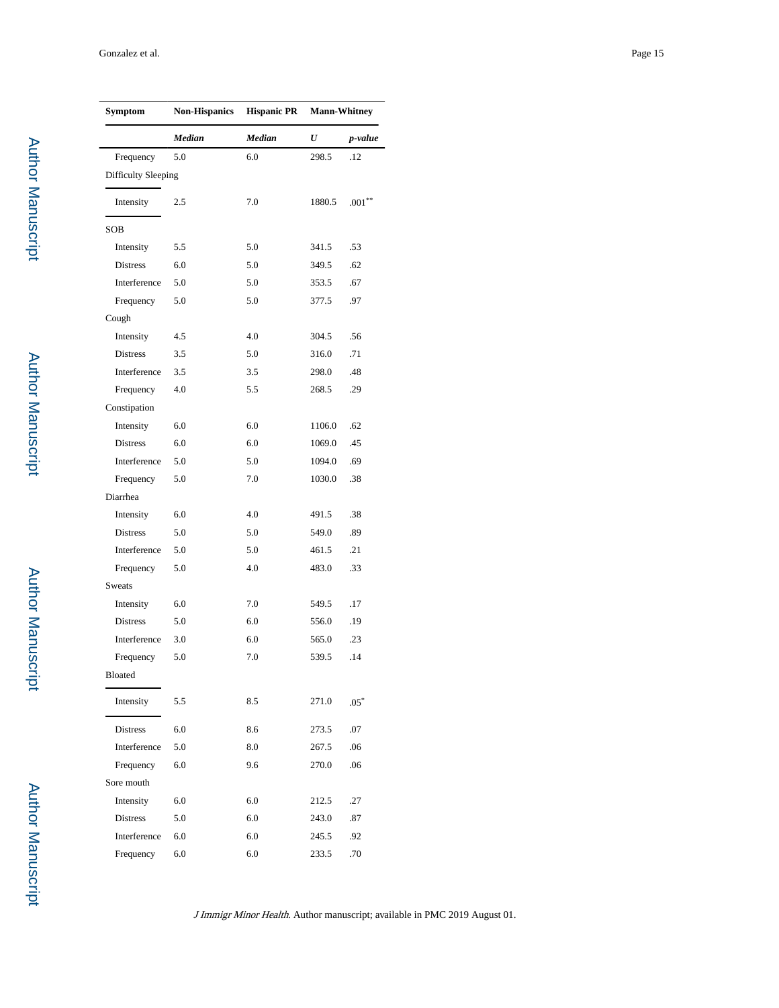| Symptom             | <b>Non-Hispanics</b> | <b>Hispanic PR</b> | <b>Mann-Whitney</b> |           |
|---------------------|----------------------|--------------------|---------------------|-----------|
|                     | <b>Median</b>        | <b>Median</b>      | U                   | p-value   |
| Frequency           | 5.0                  | 6.0                | 298.5               | .12       |
| Difficulty Sleeping |                      |                    |                     |           |
| Intensity           | 2.5                  | 7.0                | 1880.5              | $.001***$ |
| <b>SOB</b>          |                      |                    |                     |           |
| Intensity           | 5.5                  | 5.0                | 341.5               | .53       |
| <b>Distress</b>     | 6.0                  | 5.0                | 349.5               | .62       |
| Interference        | 5.0                  | 5.0                | 353.5               | .67       |
| Frequency           | 5.0                  | 5.0                | 377.5               | .97       |
| Cough               |                      |                    |                     |           |
| Intensity           | 4.5                  | 4.0                | 304.5               | .56       |
| <b>Distress</b>     | 3.5                  | 5.0                | 316.0               | .71       |
| Interference        | 3.5                  | 3.5                | 298.0               | .48       |
| Frequency           | 4.0                  | 5.5                | 268.5               | .29       |
| Constipation        |                      |                    |                     |           |
| Intensity           | 6.0                  | 6.0                | 1106.0              | .62       |
| <b>Distress</b>     | 6.0                  | 6.0                | 1069.0              | .45       |
| Interference        | 5.0                  | 5.0                | 1094.0              | .69       |
| Frequency           | 5.0                  | 7.0                | 1030.0              | .38       |
| Diarrhea            |                      |                    |                     |           |
| Intensity           | 6.0                  | 4.0                | 491.5               | .38       |
| <b>Distress</b>     | 5.0                  | 5.0                | 549.0               | .89       |
| Interference        | 5.0                  | 5.0                | 461.5               | .21       |
| Frequency           | 5.0                  | 4.0                | 483.0               | .33       |
| Sweats              |                      |                    |                     |           |
| Intensity           | 6.0                  | 7.0                | 549.5               | .17       |
| <b>Distress</b>     | 5.0                  | 6.0                | 556.0               | .19       |
| Interference        | 3.0                  | 6.0                | 565.0               | .23       |
| Frequency           | 5.0                  | 7.0                | 539.5               | .14       |
| <b>Bloated</b>      |                      |                    |                     |           |
| Intensity           | 5.5                  | 8.5                | 271.0               | $.05*$    |
| <b>Distress</b>     | 6.0                  | 8.6                | 273.5               | .07       |
| Interference        | 5.0                  | 8.0                | 267.5               | .06       |
| Frequency           | 6.0                  | 9.6                | 270.0               | .06       |
| Sore mouth          |                      |                    |                     |           |
| Intensity           | 6.0                  | 6.0                | 212.5               | .27       |
| <b>Distress</b>     | 5.0                  | 6.0                | 243.0               | .87       |
| Interference        | 6.0                  | 6.0                | 245.5               | .92       |
| Frequency           | 6.0                  | 6.0                | 233.5               | .70       |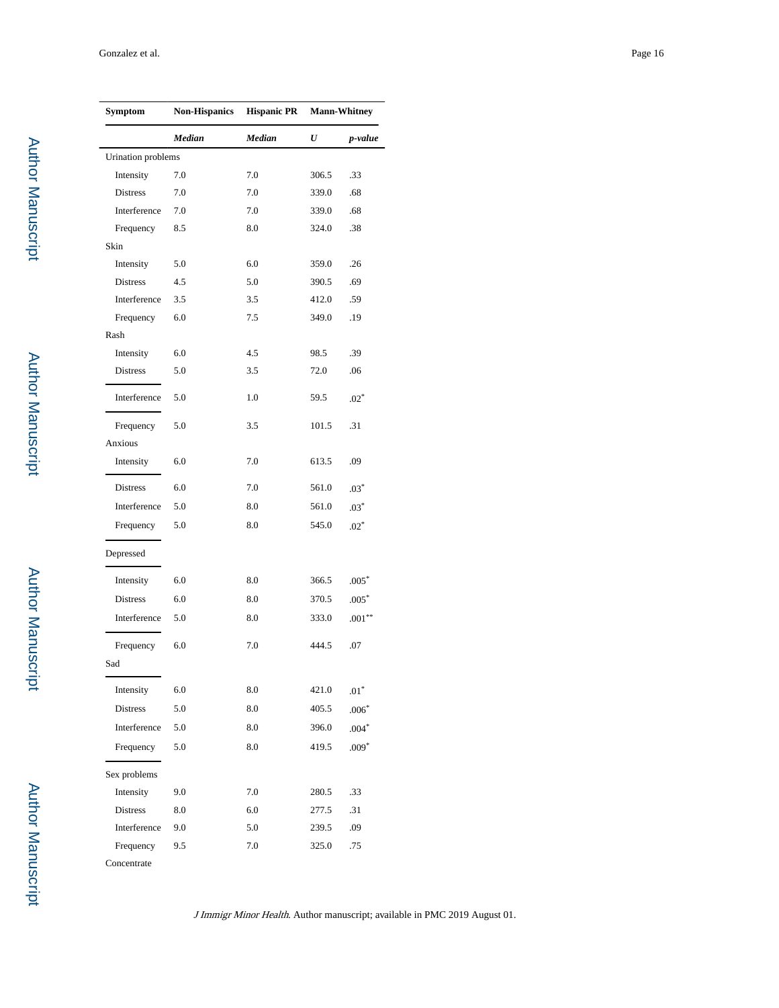| Symptom            | <b>Non-Hispanics</b> | <b>Hispanic PR</b> | <b>Mann-Whitney</b> |          |
|--------------------|----------------------|--------------------|---------------------|----------|
|                    | <b>Median</b>        | <b>Median</b>      | U                   | p-value  |
| Urination problems |                      |                    |                     |          |
| Intensity          | 7.0                  | 7.0                | 306.5               | .33      |
| <b>Distress</b>    | 7.0                  | 7.0                | 339.0               | .68      |
| Interference       | 7.0                  | 7.0                | 339.0               | .68      |
| Frequency          | 8.5                  | 8.0                | 324.0               | .38      |
| Skin               |                      |                    |                     |          |
| Intensity          | 5.0                  | 6.0                | 359.0               | .26      |
| <b>Distress</b>    | 4.5                  | 5.0                | 390.5               | .69      |
| Interference       | 3.5                  | 3.5                | 412.0               | .59      |
| Frequency          | 6.0                  | 7.5                | 349.0               | .19      |
| Rash               |                      |                    |                     |          |
| Intensity          | 6.0                  | 4.5                | 98.5                | .39      |
| <b>Distress</b>    | 5.0                  | 3.5                | 72.0                | .06      |
| Interference       | 5.0                  | 1.0                | 59.5                | $.02*$   |
| Frequency          | 5.0                  | 3.5                | 101.5               | .31      |
| Anxious            |                      |                    |                     |          |
| Intensity          | 6.0                  | 7.0                | 613.5               | .09      |
| <b>Distress</b>    | 6.0                  | 7.0                | 561.0               | $.03*$   |
| Interference       | 5.0                  | 8.0                | 561.0               | $.03*$   |
| Frequency          | 5.0                  | 8.0                | 545.0               | $.02*$   |
| Depressed          |                      |                    |                     |          |
| Intensity          | 6.0                  | 8.0                | 366.5               | $.005*$  |
| <b>Distress</b>    | 6.0                  | 8.0                | 370.5               | $.005*$  |
| Interference       | 5.0                  | 8.0                | 333.0               | $.001**$ |
| Frequency          | 6.0                  | 7.0                | 444.5               | .07      |
| Sad                |                      |                    |                     |          |
| Intensity          | 6.0                  | 8.0                | 421.0               | $.01*$   |
| <b>Distress</b>    | 5.0                  | 8.0                | 405.5               | $.006*$  |
| Interference       | 5.0                  | 8.0                | 396.0               | $.004*$  |
| Frequency          | 5.0                  | 8.0                | 419.5               | $.009*$  |
| Sex problems       |                      |                    |                     |          |
| Intensity          | 9.0                  | 7.0                | 280.5               | .33      |
| <b>Distress</b>    | 8.0                  | 6.0                | 277.5               | .31      |
| Interference       | 9.0                  | 5.0                | 239.5               | .09      |
| Frequency          | 9.5                  | 7.0                | 325.0               | .75      |

Concentrate